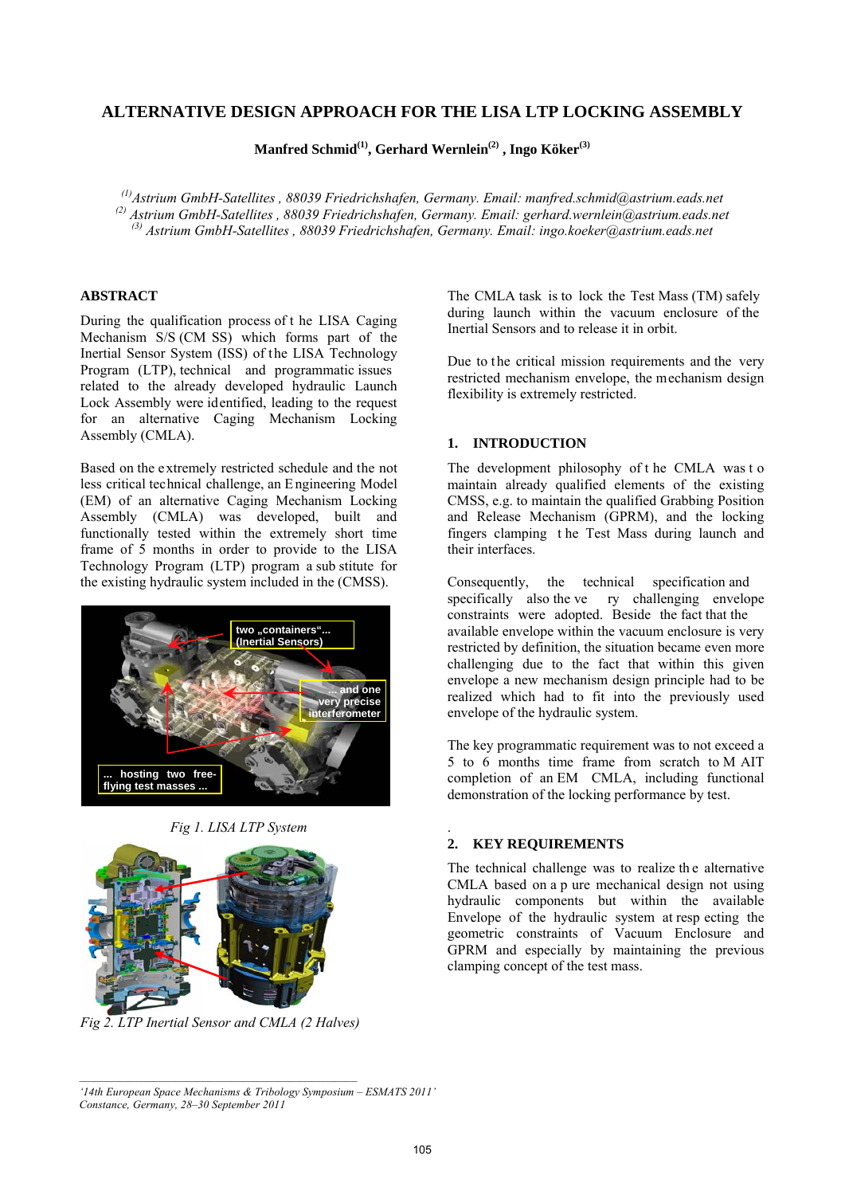# **ALTERNATIVE DESIGN APPROACH FOR THE LISA LTP LOCKING ASSEMBLY**

**Manfred Schmid(1), Gerhard Wernlein(2) , Ingo Köker(3)**

*(1)Astrium GmbH-Satellites , 88039 Friedrichshafen, Germany. Email: manfred.schmid@astrium.eads.net (2) Astrium GmbH-Satellites , 88039 Friedrichshafen, Germany. Email: gerhard.wernlein@astrium.eads.net (3) Astrium GmbH-Satellites , 88039 Friedrichshafen, Germany. Email: ingo.koeker@astrium.eads.net* 

### **ABSTRACT**

During the qualification process of t he LISA Caging Mechanism S/S (CM SS) which forms part of the Inertial Sensor System (ISS) of the LISA Technology Program (LTP), technical and programmatic issues related to the already developed hydraulic Launch Lock Assembly were identified, leading to the request for an alternative Caging Mechanism Locking Assembly (CMLA).

Based on the extremely restricted schedule and the not less critical technical challenge, an E ngineering Model (EM) of an alternative Caging Mechanism Locking Assembly (CMLA) was developed, built and functionally tested within the extremely short time frame of 5 months in order to provide to the LISA Technology Program (LTP) program a sub stitute for the existing hydraulic system included in the (CMSS).







*Fig 2. LTP Inertial Sensor and CMLA (2 Halves)* 

The CMLA task is to lock the Test Mass (TM) safely during launch within the vacuum enclosure of the Inertial Sensors and to release it in orbit.

Due to the critical mission requirements and the very restricted mechanism envelope, the mechanism design flexibility is extremely restricted.

# **1. INTRODUCTION**

The development philosophy of t he CMLA was t o maintain already qualified elements of the existing CMSS, e.g. to maintain the qualified Grabbing Position and Release Mechanism (GPRM), and the locking fingers clamping t he Test Mass during launch and their interfaces.

Consequently, the technical specification and specifically also the ve ry challenging envelope constraints were adopted. Beside the fact that the available envelope within the vacuum enclosure is very restricted by definition, the situation became even more challenging due to the fact that within this given envelope a new mechanism design principle had to be realized which had to fit into the previously used envelope of the hydraulic system.

The key programmatic requirement was to not exceed a 5 to 6 months time frame from scratch to M AIT completion of an EM CMLA, including functional demonstration of the locking performance by test.

#### . **2. KEY REQUIREMENTS**

The technical challenge was to realize th e alternative CMLA based on a p ure mechanical design not using hydraulic components but within the available Envelope of the hydraulic system at resp ecting the geometric constraints of Vacuum Enclosure and GPRM and especially by maintaining the previous clamping concept of the test mass.

*<sup>&#</sup>x27;14th European Space Mechanisms & Tribology Symposium – ESMATS 2011' Constance, Germany, 28–30 September 2011*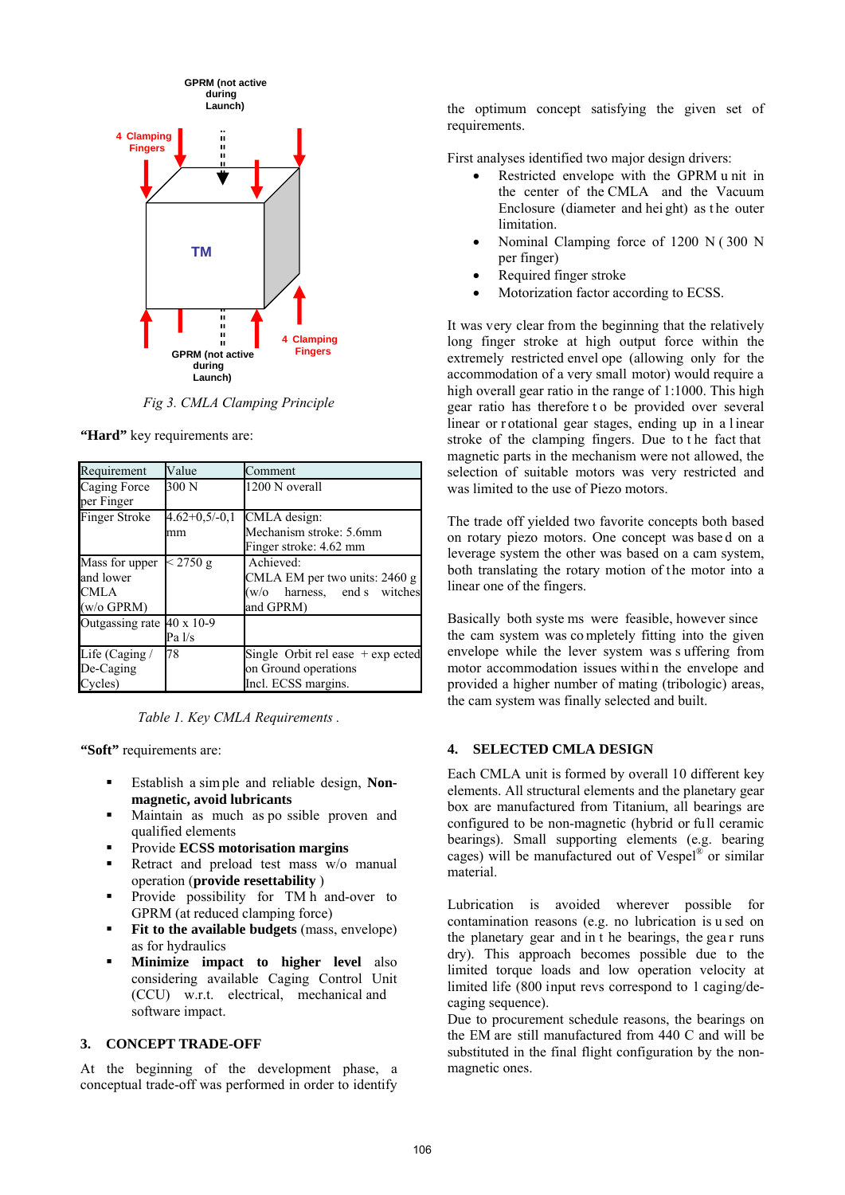

*Fig 3. CMLA Clamping Principle* 

"Hard" key requirements are:

| Requirement                                       | Value                        | Comment                                                                                   |  |
|---------------------------------------------------|------------------------------|-------------------------------------------------------------------------------------------|--|
| Caging Force<br>per Finger                        | 300 N                        | 1200 N overall                                                                            |  |
| <b>Finger Stroke</b>                              | $4.62+0.5/-0.1$<br>mm        | CMLA design:<br>Mechanism stroke: 5.6mm<br>Finger stroke: 4.62 mm                         |  |
| Mass for upper<br>and lower<br>CMLA<br>(w/o GPRM) | $< 2750 \text{ g}$           | Achieved:<br>CMLA EM per two units: 2460 g<br>$(w/o)$ harness, end s witches<br>and GPRM) |  |
| Outgassing rate                                   | $40 \times 10 - 9$<br>Pa l/s |                                                                                           |  |
| Life (Caging /<br>De-Caging<br>cles)              | 78                           | Single Orbit rel ease $+$ exp ected<br>on Ground operations<br>Incl. ECSS margins.        |  |

*Table 1. Key CMLA Requirements .* 

**"Soft"** requirements are:

- Establish a sim ple and reliable design, **Nonmagnetic, avoid lubricants**
- Maintain as much as po ssible proven and qualified elements
- **Provide ECSS motorisation margins**
- Retract and preload test mass  $w/o$  manual operation (**provide resettability** )
- **Provide possibility for TM h and-over to** GPRM (at reduced clamping force)
- **Fit to the available budgets** (mass, envelope) as for hydraulics
- **Minimize impact to higher level** also considering available Caging Control Unit (CCU) w.r.t. electrical, mechanical and software impact.

#### **3. CONCEPT TRADE-OFF**

At the beginning of the development phase, a conceptual trade-off was performed in order to identify the optimum concept satisfying the given set of requirements.

First analyses identified two major design drivers:

- Restricted envelope with the GPRM u nit in the center of the CMLA and the Vacuum Enclosure (diameter and hei ght) as t he outer limitation.
- Nominal Clamping force of 1200 N ( 300 N per finger)
- Required finger stroke
- Motorization factor according to ECSS.

It was very clear from the beginning that the relatively long finger stroke at high output force within the extremely restricted envel ope (allowing only for the accommodation of a very small motor) would require a high overall gear ratio in the range of 1:1000. This high gear ratio has therefore t o be provided over several linear or r otational gear stages, ending up in a l inear stroke of the clamping fingers. Due to t he fact that magnetic parts in the mechanism were not allowed, the selection of suitable motors was very restricted and was limited to the use of Piezo motors.

The trade off yielded two favorite concepts both based on rotary piezo motors. One concept was base d on a leverage system the other was based on a cam system, both translating the rotary motion of the motor into a linear one of the fingers.

Basically both syste ms were feasible, however since the cam system was co mpletely fitting into the given envelope while the lever system was s uffering from motor accommodation issues within the envelope and provided a higher number of mating (tribologic) areas, the cam system was finally selected and built.

### **4. SELECTED CMLA DESIGN**

Each CMLA unit is formed by overall 10 different key elements. All structural elements and the planetary gear box are manufactured from Titanium, all bearings are configured to be non-magnetic (hybrid or full ceramic bearings). Small supporting elements (e.g. bearing cages) will be manufactured out of Vespel® or similar material.

Lubrication is avoided wherever possible for contamination reasons (e.g. no lubrication is u sed on the planetary gear and in t he bearings, the gea r runs dry). This approach becomes possible due to the limited torque loads and low operation velocity at limited life (800 input revs correspond to 1 caging/decaging sequence).

Due to procurement schedule reasons, the bearings on the EM are still manufactured from 440 C and will be substituted in the final flight configuration by the nonmagnetic ones.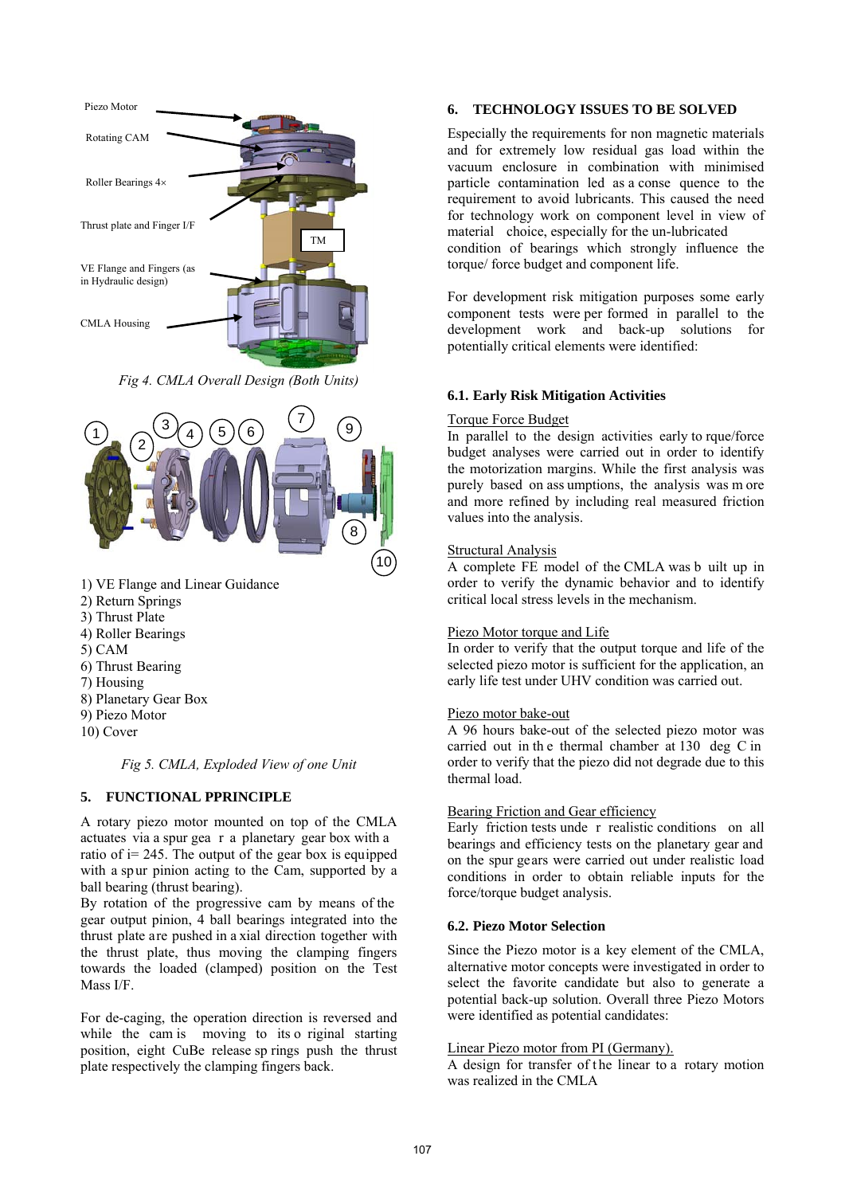

*Fig 4. CMLA Overall Design (Both Units)* 



- 1) VE Flange and Linear Guidance
- 2) Return Springs
- 3) Thrust Plate
- 4) Roller Bearings
- 5) CAM
- 6) Thrust Bearing
- 7) Housing
- 8) Planetary Gear Box
- 9) Piezo Motor
- 10) Cover

*Fig 5. CMLA, Exploded View of one Unit* 

### **5. FUNCTIONAL PPRINCIPLE**

A rotary piezo motor mounted on top of the CMLA actuates via a spur gea r a planetary gear box with a ratio of i= 245. The output of the gear box is equipped with a spur pinion acting to the Cam, supported by a ball bearing (thrust bearing).

By rotation of the progressive cam by means of the gear output pinion, 4 ball bearings integrated into the thrust plate are pushed in a xial direction together with the thrust plate, thus moving the clamping fingers towards the loaded (clamped) position on the Test Mass I/F.

For de-caging, the operation direction is reversed and while the cam is moving to its o riginal starting position, eight CuBe release sp rings push the thrust plate respectively the clamping fingers back.

### **6. TECHNOLOGY ISSUES TO BE SOLVED**

Especially the requirements for non magnetic materials and for extremely low residual gas load within the vacuum enclosure in combination with minimised particle contamination led as a conse quence to the requirement to avoid lubricants. This caused the need for technology work on component level in view of material choice, especially for the un-lubricated condition of bearings which strongly influence the torque/ force budget and component life.

For development risk mitigation purposes some early component tests were per formed in parallel to the development work and back-up solutions for potentially critical elements were identified:

### **6.1. Early Risk Mitigation Activities**

### Torque Force Budget

In parallel to the design activities early to rque/force budget analyses were carried out in order to identify the motorization margins. While the first analysis was purely based on ass umptions, the analysis was m ore and more refined by including real measured friction values into the analysis.

### Structural Analysis

A complete FE model of the CMLA was b uilt up in order to verify the dynamic behavior and to identify critical local stress levels in the mechanism.

### Piezo Motor torque and Life

In order to verify that the output torque and life of the selected piezo motor is sufficient for the application, an early life test under UHV condition was carried out.

## Piezo motor bake-out

A 96 hours bake-out of the selected piezo motor was carried out in th e thermal chamber at 130 deg C in order to verify that the piezo did not degrade due to this thermal load.

#### Bearing Friction and Gear efficiency

Early friction tests unde r realistic conditions on all bearings and efficiency tests on the planetary gear and on the spur gears were carried out under realistic load conditions in order to obtain reliable inputs for the force/torque budget analysis.

### **6.2. Piezo Motor Selection**

Since the Piezo motor is a key element of the CMLA, alternative motor concepts were investigated in order to select the favorite candidate but also to generate a potential back-up solution. Overall three Piezo Motors were identified as potential candidates:

### Linear Piezo motor from PI (Germany).

A design for transfer of t he linear to a rotary motion was realized in the CMLA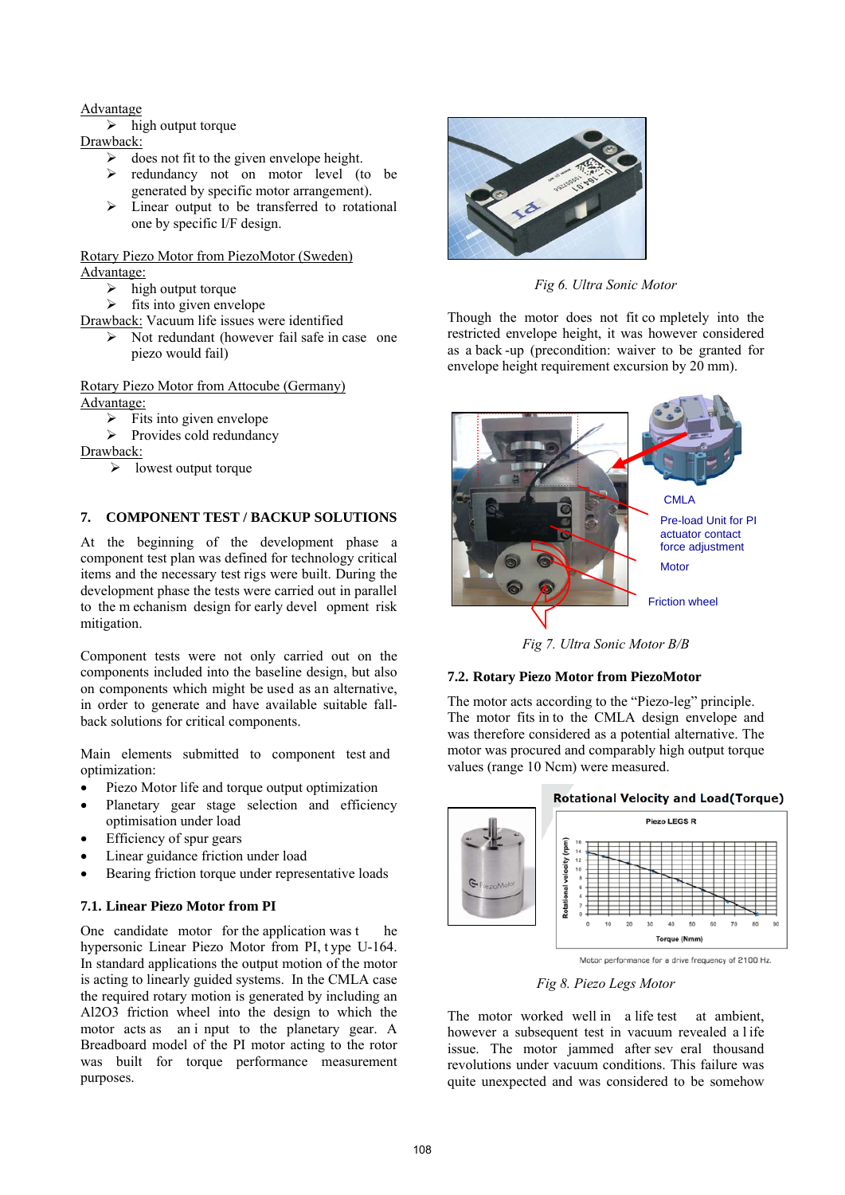### Advantage

 $\triangleright$  high output torque

- Drawback:
	- does not fit to the given envelope height.
	- ¾ redundancy not on motor level (to be generated by specific motor arrangement).
	- $\triangleright$  Linear output to be transferred to rotational one by specific I/F design.

Rotary Piezo Motor from PiezoMotor (Sweden)  $\frac{\text{Advantage:}}{\text{hig}}$ 

- high output torque
- $\triangleright$  fits into given envelope

Drawback: Vacuum life issues were identified

 $\triangleright$  Not redundant (however fail safe in case one piezo would fail)

Rotary Piezo Motor from Attocube (Germany) Advantage:

- $\triangleright$  Fits into given envelope
- $\triangleright$  Provides cold redundancy

Drawback:

 $\triangleright$  lowest output torque

# **7. COMPONENT TEST / BACKUP SOLUTIONS**

At the beginning of the development phase a component test plan was defined for technology critical items and the necessary test rigs were built. During the development phase the tests were carried out in parallel to the m echanism design for early devel opment risk mitigation.

Component tests were not only carried out on the components included into the baseline design, but also on components which might be used as an alternative, in order to generate and have available suitable fallback solutions for critical components.

Main elements submitted to component test and optimization:

- Piezo Motor life and torque output optimization
- Planetary gear stage selection and efficiency optimisation under load
- Efficiency of spur gears
- Linear guidance friction under load
- Bearing friction torque under representative loads

# **7.1. Linear Piezo Motor from PI**

One candidate motor for the application was t he hypersonic Linear Piezo Motor from PI, t ype U-164. In standard applications the output motion of the motor is acting to linearly guided systems. In the CMLA case the required rotary motion is generated by including an Al2O3 friction wheel into the design to which the motor acts as an i nput to the planetary gear. A Breadboard model of the PI motor acting to the rotor was built for torque performance measurement purposes.



*Fig 6. Ultra Sonic Motor* 

Though the motor does not fit co mpletely into the restricted envelope height, it was however considered as a back -up (precondition: waiver to be granted for envelope height requirement excursion by 20 mm).



*Fig 7. Ultra Sonic Motor B/B* 

### **7.2. Rotary Piezo Motor from PiezoMotor**

The motor acts according to the "Piezo-leg" principle. The motor fits in to the CMLA design envelope and was therefore considered as a potential alternative. The motor was procured and comparably high output torque values (range 10 Ncm) were measured.

#### **Rotational Velocity and Load (Torque)**



Motor performance for a drive frequency of 2100 Hz.

*Fig 8. Piezo Legs Motor* 

The motor worked well in a life test at ambient, however a subsequent test in vacuum revealed a l ife issue. The motor jammed after sev eral thousand revolutions under vacuum conditions. This failure was quite unexpected and was considered to be somehow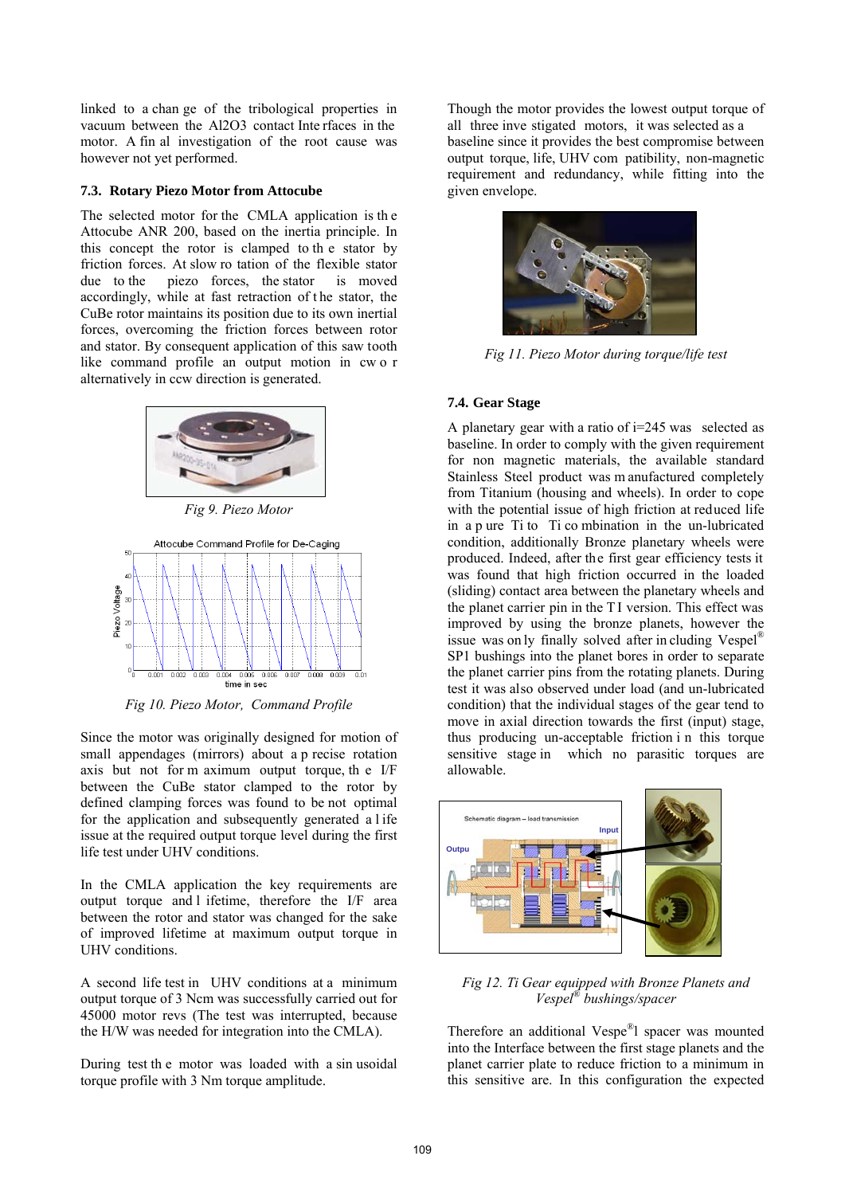linked to a chan ge of the tribological properties in vacuum between the Al2O3 contact Inte rfaces in the motor. A fin al investigation of the root cause was however not yet performed.

#### **7.3. Rotary Piezo Motor from Attocube**

The selected motor for the CMLA application is th e Attocube ANR 200, based on the inertia principle. In this concept the rotor is clamped to th e stator by friction forces. At slow ro tation of the flexible stator due to the piezo forces, the stator is moved accordingly, while at fast retraction of the stator, the CuBe rotor maintains its position due to its own inertial forces, overcoming the friction forces between rotor and stator. By consequent application of this saw tooth like command profile an output motion in cw o r alternatively in ccw direction is generated.



*Fig 9. Piezo Motor* 



*Fig 10. Piezo Motor, Command Profile* 

Since the motor was originally designed for motion of small appendages (mirrors) about a p recise rotation axis but not for m aximum output torque, th e I/F between the CuBe stator clamped to the rotor by defined clamping forces was found to be not optimal for the application and subsequently generated a l ife issue at the required output torque level during the first life test under UHV conditions.

In the CMLA application the key requirements are output torque and l ifetime, therefore the I/F area between the rotor and stator was changed for the sake of improved lifetime at maximum output torque in UHV conditions.

A second life test in UHV conditions at a minimum output torque of 3 Ncm was successfully carried out for 45000 motor revs (The test was interrupted, because the H/W was needed for integration into the CMLA).

During test th e motor was loaded with a sin usoidal torque profile with 3 Nm torque amplitude.

Though the motor provides the lowest output torque of all three inve stigated motors, it was selected as a baseline since it provides the best compromise between output torque, life, UHV com patibility, non-magnetic requirement and redundancy, while fitting into the given envelope.



*Fig 11. Piezo Motor during torque/life test* 

### **7.4. Gear Stage**

A planetary gear with a ratio of i=245 was selected as baseline. In order to comply with the given requirement for non magnetic materials, the available standard Stainless Steel product was m anufactured completely from Titanium (housing and wheels). In order to cope with the potential issue of high friction at reduced life in a p ure Ti to Ti co mbination in the un-lubricated condition, additionally Bronze planetary wheels were produced. Indeed, after the first gear efficiency tests it was found that high friction occurred in the loaded (sliding) contact area between the planetary wheels and the planet carrier pin in the T I version. This effect was improved by using the bronze planets, however the issue was on ly finally solved after in cluding  $Vespel^{\mathcal{B}}$ SP1 bushings into the planet bores in order to separate the planet carrier pins from the rotating planets. During test it was also observed under load (and un-lubricated condition) that the individual stages of the gear tend to move in axial direction towards the first (input) stage, thus producing un-acceptable friction i n this torque sensitive stage in which no parasitic torques are allowable.



*Fig 12. Ti Gear equipped with Bronze Planets and Vespel*® *bushings/spacer* 

Therefore an additional Vespe®l spacer was mounted into the Interface between the first stage planets and the planet carrier plate to reduce friction to a minimum in this sensitive are. In this configuration the expected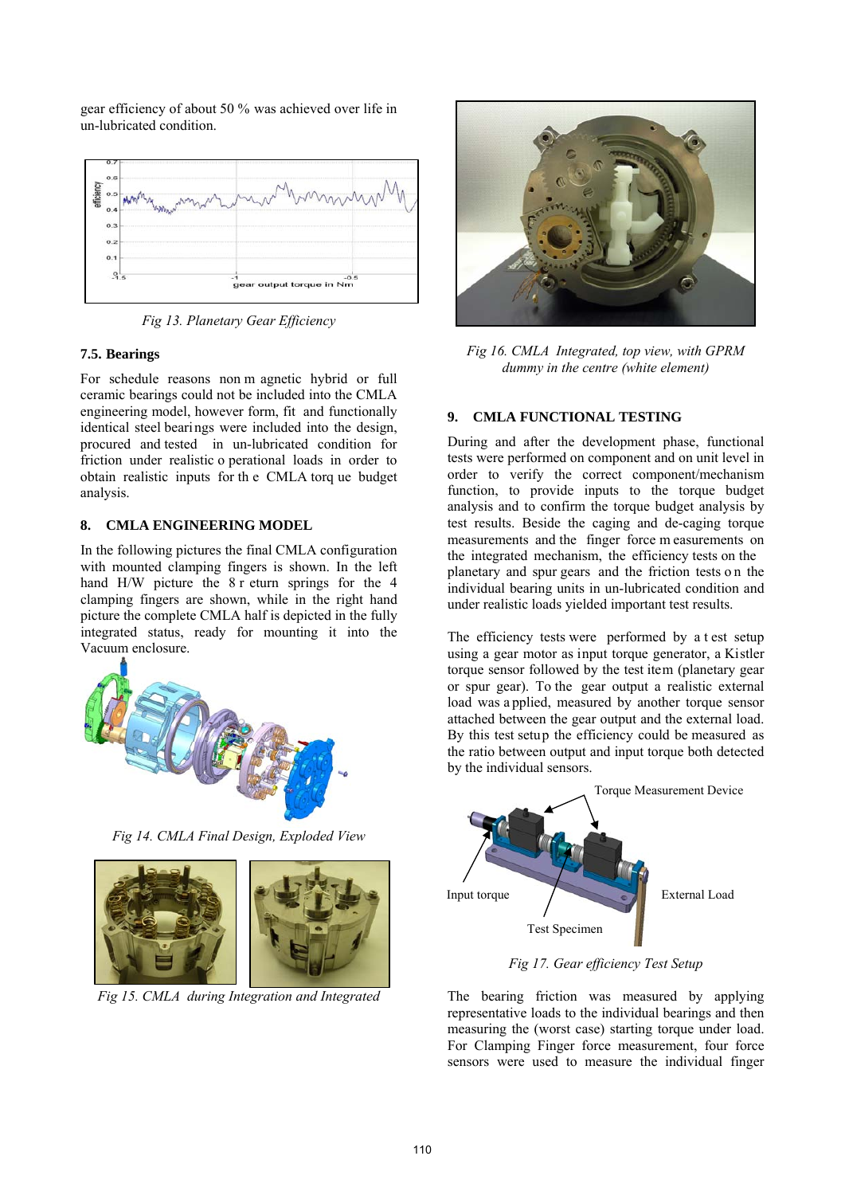gear efficiency of about 50 % was achieved over life in un-lubricated condition.



*Fig 13. Planetary Gear Efficiency* 

# **7.5. Bearings**

For schedule reasons non m agnetic hybrid or full ceramic bearings could not be included into the CMLA engineering model, however form, fit and functionally identical steel bearings were included into the design, procured and tested in un-lubricated condition for friction under realistic o perational loads in order to obtain realistic inputs for th e CMLA torq ue budget analysis.

# **8. CMLA ENGINEERING MODEL**

In the following pictures the final CMLA configuration with mounted clamping fingers is shown. In the left hand H/W picture the 8 r eturn springs for the 4 clamping fingers are shown, while in the right hand picture the complete CMLA half is depicted in the fully integrated status, ready for mounting it into the Vacuum enclosure.



*Fig 14. CMLA Final Design, Exploded View* 



*Fig 15. CMLA during Integration and Integrated* 



*Fig 16. CMLA Integrated, top view, with GPRM dummy in the centre (white element)* 

# **9. CMLA FUNCTIONAL TESTING**

During and after the development phase, functional tests were performed on component and on unit level in order to verify the correct component/mechanism function, to provide inputs to the torque budget analysis and to confirm the torque budget analysis by test results. Beside the caging and de-caging torque measurements and the finger force m easurements on the integrated mechanism, the efficiency tests on the planetary and spur gears and the friction tests on the individual bearing units in un-lubricated condition and under realistic loads yielded important test results.

The efficiency tests were performed by a t est setup using a gear motor as input torque generator, a Kistler torque sensor followed by the test item (planetary gear or spur gear). To the gear output a realistic external load was a pplied, measured by another torque sensor attached between the gear output and the external load. By this test setup the efficiency could be measured as the ratio between output and input torque both detected by the individual sensors.



*Fig 17. Gear efficiency Test Setup* 

The bearing friction was measured by applying representative loads to the individual bearings and then measuring the (worst case) starting torque under load. For Clamping Finger force measurement, four force sensors were used to measure the individual finger